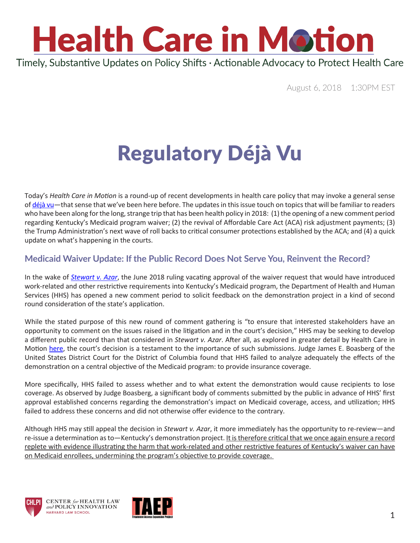

August 6, 2018 1:30PM EST

### Regulatory Déjà Vu

Today's *Health Care in Motion* is a round-up of recent developments in health care policy that may invoke a general sense of [déjà vu—](https://www.youtube.com/watch?v=HiDOMuhpqUo)that sense that we've been here before. The updates in this issue touch on topics that will be familiar to readers who have been along for the long, strange trip that has been health policy in 2018: (1) the opening of a new comment period regarding Kentucky's Medicaid program waiver; (2) the revival of Affordable Care Act (ACA) risk adjustment payments; (3) the Trump Administration's next wave of roll backs to critical consumer protections established by the ACA; and (4) a quick update on what's happening in the courts.

#### **Medicaid Waiver Update: If the Public Record Does Not Serve You, Reinvent the Record?**

In the wake of *[Stewart v. Azar](https://ecf.dcd.uscourts.gov/cgi-bin/show_public_doc?2018cv0152-74)*, the June 2018 ruling vacating approval of the waiver request that would have introduced work-related and other restrictive requirements into Kentucky's Medicaid program, the Department of Health and Human Services (HHS) has opened a new comment period to solicit feedback on the demonstration project in a kind of second round consideration of the state's application.

While the stated purpose of this new round of comment gathering is "to ensure that interested stakeholders have an opportunity to comment on the issues raised in the litigation and in the court's decision," HHS may be seeking to develop a different public record than that considered in *Stewart v. Azar*. After all, as explored in greater detail by Health Care in Motion [here](https://www.chlpi.org/wp-content/uploads/2013/12/HCIM_07_02_2018.pdf), the court's decision is a testament to the importance of such submissions. Judge James E. Boasberg of the United States District Court for the District of Columbia found that HHS failed to analyze adequately the effects of the demonstration on a central objective of the Medicaid program: to provide insurance coverage.

More specifically, HHS failed to assess whether and to what extent the demonstration would cause recipients to lose coverage. As observed by Judge Boasberg, a significant body of comments submitted by the public in advance of HHS' first approval established concerns regarding the demonstration's impact on Medicaid coverage, access, and utilization; HHS failed to address these concerns and did not otherwise offer evidence to the contrary.

Although HHS may still appeal the decision in *Stewart v. Azar*, it more immediately has the opportunity to re-review—and re-issue a determination as to—Kentucky's demonstration project. It is therefore critical that we once again ensure a record replete with evidence illustrating the harm that work-related and other restrictive features of Kentucky's waiver can have on Medicaid enrollees, undermining the program's objective to provide coverage.





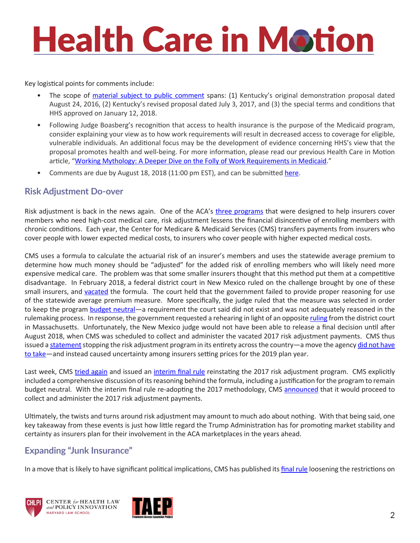# **Health Care in Motion**

Key logistical points for comments include:

- The scope of [material subject to public comment](https://www.medicaid.gov/Medicaid-CHIP-Program-Information/By-Topics/Waivers/1115/downloads/ky/ky-health-pa3.pdf) spans: (1) Kentucky's original demonstration proposal dated August 24, 2016, (2) Kentucky's revised proposal dated July 3, 2017, and (3) the special terms and conditions that HHS approved on January 12, 2018.
- Following Judge Boasberg's recognition that access to health insurance is the purpose of the Medicaid program, consider explaining your view as to how work requirements will result in decreased access to coverage for eligible, vulnerable individuals. An additional focus may be the development of evidence concerning HHS's view that the proposal promotes health and well-being. For more information, please read our previous Health Care in Motion article, ["Working Mythology: A Deeper Dive on the Folly of Work Requirements in Medicaid](https://www.chlpi.org/wp-content/uploads/2013/12/HCIM_05_07_2018.pdf)."
- Comments are due by August 18, 2018 (11:00 pm EST), and can be submitted [here.](https://public.medicaid.gov/connect.ti/public.comments/view?objectId=1897699)

#### **Risk Adjustment Do-over**

Risk adjustment is back in the news again. One of the ACA's [three programs](https://www.kff.org/health-reform/issue-brief/explaining-health-care-reform-risk-adjustment-reinsurance-and-risk-corridors/) that were designed to help insurers cover members who need high-cost medical care, risk adjustment lessens the financial disincentive of enrolling members with chronic conditions. Each year, the Center for Medicare & Medicaid Services (CMS) transfers payments from insurers who cover people with lower expected medical costs, to insurers who cover people with higher expected medical costs.

CMS uses a formula to calculate the actuarial risk of an insurer's members and uses the statewide average premium to determine how much money should be "adjusted" for the added risk of enrolling members who will likely need more expensive medical care. The problem was that some smaller insurers thought that this method put them at a competitive disadvantage. In February 2018, a federal district court in New Mexico ruled on the challenge brought by one of these small insurers, and [vacated](https://theincidentaleconomist.com/wordpress/wp-content/uploads/2018/07/Order.pdf) the formula. The court held that the government failed to provide proper reasoning for use of the statewide average premium measure. More specifically, the judge ruled that the measure was selected in order to keep the program [budget neutral](https://www.healthaffairs.org/do/10.1377/hblog20180725.594859/full/)—a requirement the court said did not exist and was not adequately reasoned in the rulemaking process. In response, the government requested a rehearing in light of an opposite [ruling](https://www.gpo.gov/fdsys/pkg/USCOURTS-mad-1_16-cv-11570/pdf/USCOURTS-mad-1_16-cv-11570-0.pdf) from the district court in Massachusetts. Unfortunately, the New Mexico judge would not have been able to release a final decision until after August 2018, when CMS was scheduled to collect and administer the vacated 2017 risk adjustment payments. CMS thus issued a [statement](https://www.cms.gov/Newsroom/MediaReleaseDatabase/Press-releases/2018-Press-releases-items/2018-07-07.html) stopping the risk adjustment program in its entirety across the country—a move the agency did not have [to take](https://www.healio.com/family-medicine/practice-management/news/online/%7Bc53a30dd-5c5c-47c8-826b-2c87a5974ace%7D/analysis-cms-stopping-risk-adjustment-payments-leaves-insurance-premiums-in-limbo)—and instead caused uncertainty among insurers setting prices for the 2019 plan year.

Last week, CMS [tried again](https://www.youtube.com/watch?v=ghPJn5LPhDE) and issued an [interim final rule](https://s3.amazonaws.com/public-inspection.federalregister.gov/2018-16190.pdf) reinstating the 2017 risk adjustment program. CMS explicitly included a comprehensive discussion of its reasoning behind the formula, including a justification for the program to remain budget neutral. With the interim final rule re-adopting the 2017 methodology, CMS [announced](https://www.cms.gov/Newsroom/MediaReleaseDatabase/Press-releases/2018-Press-releases-items/2018-07-24-2.html) that it would proceed to collect and administer the 2017 risk adjustment payments.

Ultimately, the twists and turns around risk adjustment may amount to much ado about nothing. With that being said, one key takeaway from these events is just how little regard the Trump Administration has for promoting market stability and certainty as insurers plan for their involvement in the ACA marketplaces in the years ahead.

#### **Expanding "Junk Insurance"**

In a move that is likely to have significant political implications, CMS has published its [final rule](https://s3.amazonaws.com/public-inspection.federalregister.gov/2018-16568.pdf) loosening the restrictions on





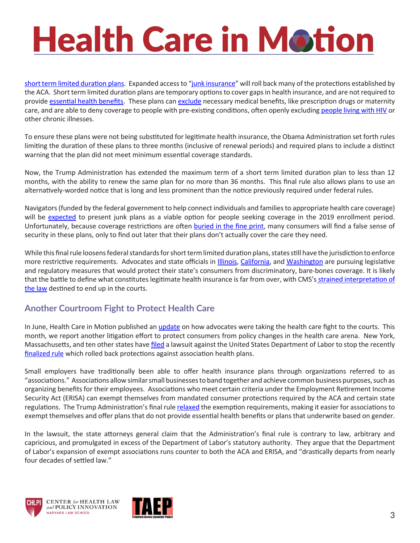# **Health Care in Motion**

[short term limited duration plans.](https://www.healthaffairs.org/do/10.1377/hblog20180801.169759/full/) Expanded access to "[junk insurance](https://www.nytimes.com/2017/07/15/health/senate-health-care-obamacare.html)" will roll back many of the protections established by the ACA. Short term limited duration plans are temporary options to cover gaps in health insurance, and are not required to provide [essential health benefits](https://familiesusa.org/blog/10-essential-health-benefits-insurance-plans-must-cover). These plans can [exclude](https://www.vox.com/policy-and-politics/2018/4/23/17271798/trump-health-care-prescriptions-maternity) necessary medical benefits, like prescription drugs or maternity care, and are able to deny coverage to people with pre-existing conditions, often openly excluding [people living with HIV](https://www.kff.org/hivaids/issue-brief/short-term-limited-duration-plans-and-hiv/) or other chronic illnesses.

To ensure these plans were not being substituted for legitimate health insurance, the Obama Administration set forth rules limiting the duration of these plans to three months (inclusive of renewal periods) and required plans to include a distinct warning that the plan did not meet minimum essential coverage standards.

Now, the Trump Administration has extended the maximum term of a short term limited duration plan to less than 12 months, with the ability to renew the same plan for no more than 36 months. This final rule also allows plans to use an alternatively-worded notice that is long and less prominent than the notice previously required under federal rules.

Navigators (funded by the federal government to help connect individuals and families to appropriate health care coverage) will be [expected](https://www.cms.gov/CCIIO/Programs-and-Initiatives/Health-Insurance-Marketplaces/Downloads/2018-Navigator-FOA-FAQs.pdf) to present junk plans as a viable option for people seeking coverage in the 2019 enrollment period. Unfortunately, because coverage restrictions are often [buried in the fine print,](http://www.latimes.com/business/hiltzik/la-fi-hiltzik-short-term-insurance-20180426-story.html) many consumers will find a false sense of security in these plans, only to find out later that their plans don't actually cover the care they need.

While this final rule loosens federal standards for short term limited duration plans, states still have the jurisdiction to enforce more restrictive requirements. Advocates and state officials in *Illinois*, [California](http://www.latimes.com/business/hiltzik/la-fi-hiltzik-trump-short-term-20180523-story.html), and [Washington](https://www.insurance.wa.gov/short-term-medical-plans-r-2018-01) are pursuing legislative and regulatory measures that would protect their state's consumers from discriminatory, bare-bones coverage. It is likely that the battle to define what constitutes legitimate health insurance is far from over, with CMS's strained interpretation of [the law](https://twitter.com/nicholas_bagley/status/1024693178962731008) destined to end up in the courts.

#### **Another Courtroom Fight to Protect Health Care**

In June, Health Care in Motion published an *[update](https://www.chlpi.org/wp-content/uploads/2013/12/HCIM_06_19_2018.pdf)* on how advocates were taking the health care fight to the courts. This month, we report another litigation effort to protect consumers from policy changes in the health care arena. New York, Massachusetts, and ten other states have [filed](https://ag.ny.gov/sites/default/files/complaint_as-filed.pdf) a lawsuit against the United States Department of Labor to stop the recently [finalized rule](https://www.dol.gov/sites/default/files/ebsa/temporary-postings/association-health-plans-final-rule.pdf) which rolled back protections against association health plans.

Small employers have traditionally been able to offer health insurance plans through organizations referred to as "associations." Associations allow similar small businesses to band together and achieve common business purposes, such as organizing benefits for their employees. Associations who meet certain criteria under the Employment Retirement Income Security Act (ERISA) can exempt themselves from mandated consumer protections required by the ACA and certain state regulations. The Trump Administration's final rule [relaxed](https://www.healthaffairs.org/do/10.1377/hblog20180621.671483/full/) the exemption requirements, making it easier for associations to exempt themselves and offer plans that do not provide essential health benefits or plans that underwrite based on gender.

In the lawsuit, the state attorneys general claim that the Administration's final rule is contrary to law, arbitrary and capricious, and promulgated in excess of the Department of Labor's statutory authority. They argue that the Department of Labor's expansion of exempt associations runs counter to both the ACA and ERISA, and "drastically departs from nearly four decades of settled law."